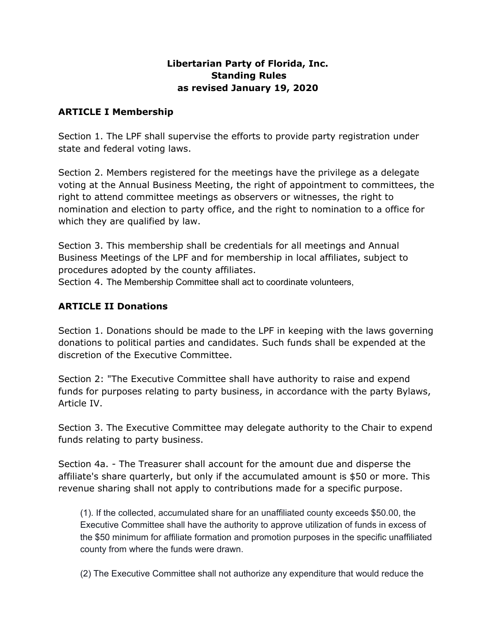## **Libertarian Party of Florida, Inc. Standing Rules as revised January 19, 2020**

### **ARTICLE I Membership**

Section 1. The LPF shall supervise the efforts to provide party registration under state and federal voting laws.

Section 2. Members registered for the meetings have the privilege as a delegate voting at the Annual Business Meeting, the right of appointment to committees, the right to attend committee meetings as observers or witnesses, the right to nomination and election to party office, and the right to nomination to a office for which they are qualified by law.

Section 3. This membership shall be credentials for all meetings and Annual Business Meetings of the LPF and for membership in local affiliates, subject to procedures adopted by the county affiliates.

Section 4. The Membership Committee shall act to coordinate volunteers,

### **ARTICLE II Donations**

Section 1. Donations should be made to the LPF in keeping with the laws governing donations to political parties and candidates. Such funds shall be expended at the discretion of the Executive Committee.

Section 2: "The Executive Committee shall have authority to raise and expend funds for purposes relating to party business, in accordance with the party Bylaws, Article IV.

Section 3. The Executive Committee may delegate authority to the Chair to expend funds relating to party business.

Section 4a. - The Treasurer shall account for the amount due and disperse the affiliate's share quarterly, but only if the accumulated amount is \$50 or more. This revenue sharing shall not apply to contributions made for a specific purpose.

(1). If the collected, accumulated share for an unaffiliated county exceeds \$50.00, the Executive Committee shall have the authority to approve utilization of funds in excess of the \$50 minimum for affiliate formation and promotion purposes in the specific unaffiliated county from where the funds were drawn.

(2) The Executive Committee shall not authorize any expenditure that would reduce the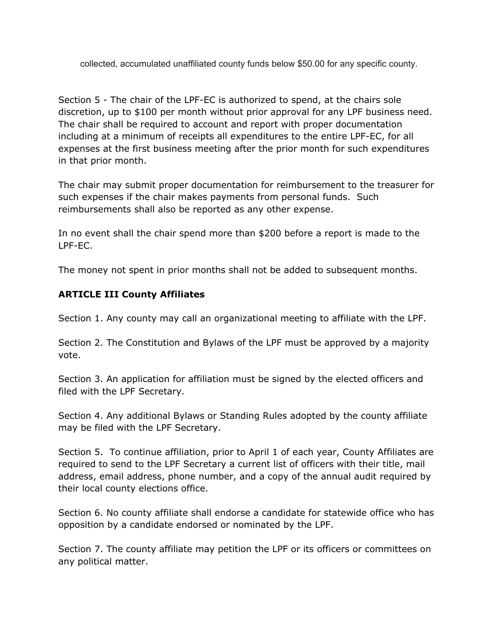collected, accumulated unaffiliated county funds below \$50.00 for any specific county.

Section 5 - The chair of the LPF-EC is authorized to spend, at the chairs sole discretion, up to \$100 per month without prior approval for any LPF business need. The chair shall be required to account and report with proper documentation including at a minimum of receipts all expenditures to the entire LPF-EC, for all expenses at the first business meeting after the prior month for such expenditures in that prior month.

The chair may submit proper documentation for reimbursement to the treasurer for such expenses if the chair makes payments from personal funds. Such reimbursements shall also be reported as any other expense.

In no event shall the chair spend more than \$200 before a report is made to the LPF-EC.

The money not spent in prior months shall not be added to subsequent months.

## **ARTICLE III County Affiliates**

Section 1. Any county may call an organizational meeting to affiliate with the LPF.

Section 2. The Constitution and Bylaws of the LPF must be approved by a majority vote.

Section 3. An application for affiliation must be signed by the elected officers and filed with the LPF Secretary.

Section 4. Any additional Bylaws or Standing Rules adopted by the county affiliate may be filed with the LPF Secretary.

Section 5. To continue affiliation, prior to April 1 of each year, County Affiliates are required to send to the LPF Secretary a current list of officers with their title, mail address, email address, phone number, and a copy of the annual audit required by their local county elections office.

Section 6. No county affiliate shall endorse a candidate for statewide office who has opposition by a candidate endorsed or nominated by the LPF.

Section 7. The county affiliate may petition the LPF or its officers or committees on any political matter.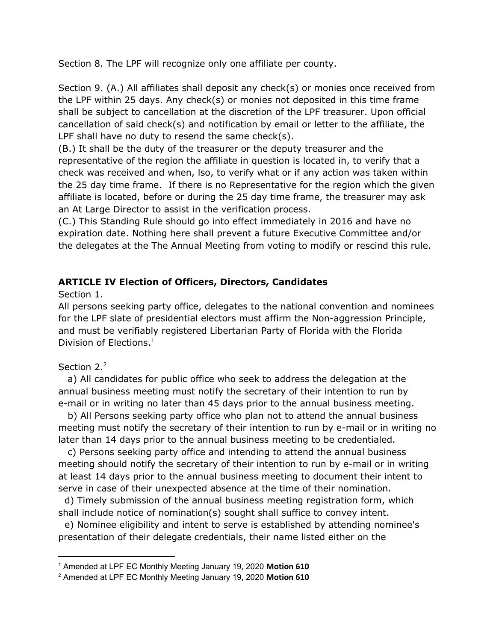Section 8. The LPF will recognize only one affiliate per county.

Section 9. (A.) All affiliates shall deposit any check(s) or monies once received from the LPF within 25 days. Any check(s) or monies not deposited in this time frame shall be subject to cancellation at the discretion of the LPF treasurer. Upon official cancellation of said check(s) and notification by email or letter to the affiliate, the LPF shall have no duty to resend the same check(s).

(B.) It shall be the duty of the treasurer or the deputy treasurer and the representative of the region the affiliate in question is located in, to verify that a check was received and when, lso, to verify what or if any action was taken within the 25 day time frame. If there is no Representative for the region which the given affiliate is located, before or during the 25 day time frame, the treasurer may ask an At Large Director to assist in the verification process.

(C.) This Standing Rule should go into effect immediately in 2016 and have no expiration date. Nothing here shall prevent a future Executive Committee and/or the delegates at the The Annual Meeting from voting to modify or rescind this rule.

### **ARTICLE IV Election of Officers, Directors, Candidates**

Section 1.

All persons seeking party office, delegates to the national convention and nominees for the LPF slate of presidential electors must affirm the Non-aggression Principle, and must be verifiably registered Libertarian Party of Florida with the Florida Division of Elections. 1

### Section 2.<sup>2</sup>

a) All candidates for public office who seek to address the delegation at the annual business meeting must notify the secretary of their intention to run by e-mail or in writing no later than 45 days prior to the annual business meeting.

b) All Persons seeking party office who plan not to attend the annual business meeting must notify the secretary of their intention to run by e-mail or in writing no later than 14 days prior to the annual business meeting to be credentialed.

c) Persons seeking party office and intending to attend the annual business meeting should notify the secretary of their intention to run by e-mail or in writing at least 14 days prior to the annual business meeting to document their intent to serve in case of their unexpected absence at the time of their nomination.

d) Timely submission of the annual business meeting registration form, which shall include notice of nomination(s) sought shall suffice to convey intent.

e) Nominee eligibility and intent to serve is established by attending nominee's presentation of their delegate credentials, their name listed either on the

<sup>1</sup> Amended at LPF EC Monthly Meeting January 19, 2020 **Motion 610**

<sup>2</sup> Amended at LPF EC Monthly Meeting January 19, 2020 **Motion 610**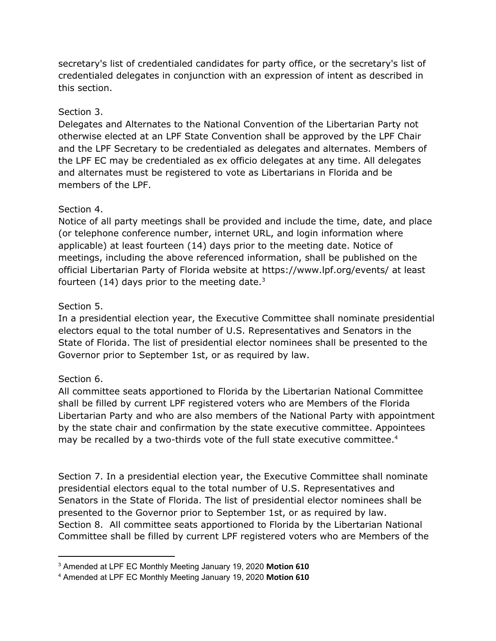secretary's list of credentialed candidates for party office, or the secretary's list of credentialed delegates in conjunction with an expression of intent as described in this section.

### Section 3.

Delegates and Alternates to the National Convention of the Libertarian Party not otherwise elected at an LPF State Convention shall be approved by the LPF Chair and the LPF Secretary to be credentialed as delegates and alternates. Members of the LPF EC may be credentialed as ex officio delegates at any time. All delegates and alternates must be registered to vote as Libertarians in Florida and be members of the LPF.

### Section 4.

Notice of all party meetings shall be provided and include the time, date, and place (or telephone conference number, internet URL, and login information where applicable) at least fourteen (14) days prior to the meeting date. Notice of meetings, including the above referenced information, shall be published on the official Libertarian Party of Florida website at https://www.lpf.org/events/ at least fourteen (14) days prior to the meeting date.<sup>3</sup>

### Section 5.

In a presidential election year, the Executive Committee shall nominate presidential electors equal to the total number of U.S. Representatives and Senators in the State of Florida. The list of presidential elector nominees shall be presented to the Governor prior to September 1st, or as required by law.

## Section 6.

All committee seats apportioned to Florida by the Libertarian National Committee shall be filled by current LPF registered voters who are Members of the Florida Libertarian Party and who are also members of the National Party with appointment by the state chair and confirmation by the state executive committee. Appointees may be recalled by a two-thirds vote of the full state executive committee.<sup>4</sup>

Section 7. In a presidential election year, the Executive Committee shall nominate presidential electors equal to the total number of U.S. Representatives and Senators in the State of Florida. The list of presidential elector nominees shall be presented to the Governor prior to September 1st, or as required by law. Section 8. All committee seats apportioned to Florida by the Libertarian National Committee shall be filled by current LPF registered voters who are Members of the

<sup>3</sup> Amended at LPF EC Monthly Meeting January 19, 2020 **Motion 610**

<sup>4</sup> Amended at LPF EC Monthly Meeting January 19, 2020 **Motion 610**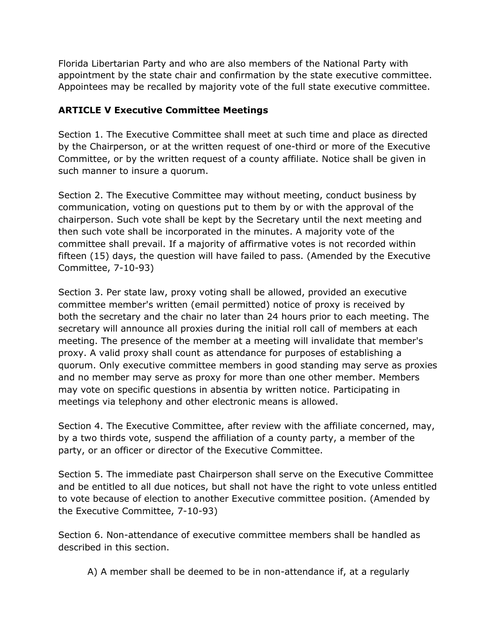Florida Libertarian Party and who are also members of the National Party with appointment by the state chair and confirmation by the state executive committee. Appointees may be recalled by majority vote of the full state executive committee.

## **ARTICLE V Executive Committee Meetings**

Section 1. The Executive Committee shall meet at such time and place as directed by the Chairperson, or at the written request of one-third or more of the Executive Committee, or by the written request of a county affiliate. Notice shall be given in such manner to insure a quorum.

Section 2. The Executive Committee may without meeting, conduct business by communication, voting on questions put to them by or with the approval of the chairperson. Such vote shall be kept by the Secretary until the next meeting and then such vote shall be incorporated in the minutes. A majority vote of the committee shall prevail. If a majority of affirmative votes is not recorded within fifteen (15) days, the question will have failed to pass. (Amended by the Executive Committee, 7-10-93)

Section 3. Per state law, proxy voting shall be allowed, provided an executive committee member's written (email permitted) notice of proxy is received by both the secretary and the chair no later than 24 hours prior to each meeting. The secretary will announce all proxies during the initial roll call of members at each meeting. The presence of the member at a meeting will invalidate that member's proxy. A valid proxy shall count as attendance for purposes of establishing a quorum. Only executive committee members in good standing may serve as proxies and no member may serve as proxy for more than one other member. Members may vote on specific questions in absentia by written notice. Participating in meetings via telephony and other electronic means is allowed.

Section 4. The Executive Committee, after review with the affiliate concerned, may, by a two thirds vote, suspend the affiliation of a county party, a member of the party, or an officer or director of the Executive Committee.

Section 5. The immediate past Chairperson shall serve on the Executive Committee and be entitled to all due notices, but shall not have the right to vote unless entitled to vote because of election to another Executive committee position. (Amended by the Executive Committee, 7-10-93)

Section 6. Non-attendance of executive committee members shall be handled as described in this section.

A) A member shall be deemed to be in non-attendance if, at a regularly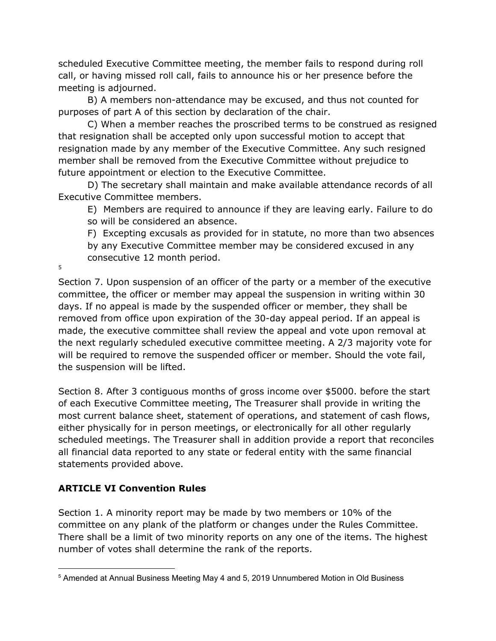scheduled Executive Committee meeting, the member fails to respond during roll call, or having missed roll call, fails to announce his or her presence before the meeting is adjourned.

B) A members non-attendance may be excused, and thus not counted for purposes of part A of this section by declaration of the chair.

C) When a member reaches the proscribed terms to be construed as resigned that resignation shall be accepted only upon successful motion to accept that resignation made by any member of the Executive Committee. Any such resigned member shall be removed from the Executive Committee without prejudice to future appointment or election to the Executive Committee.

D) The secretary shall maintain and make available attendance records of all Executive Committee members.

E) Members are required to announce if they are leaving early. Failure to do so will be considered an absence.

F) Excepting excusals as provided for in statute, no more than two absences

by any Executive Committee member may be considered excused in any consecutive 12 month period.

5

Section 7. Upon suspension of an officer of the party or a member of the executive committee, the officer or member may appeal the suspension in writing within 30 days. If no appeal is made by the suspended officer or member, they shall be removed from office upon expiration of the 30-day appeal period. If an appeal is made, the executive committee shall review the appeal and vote upon removal at the next regularly scheduled executive committee meeting. A 2/3 majority vote for will be required to remove the suspended officer or member. Should the vote fail, the suspension will be lifted.

Section 8. After 3 contiguous months of gross income over \$5000. before the start of each Executive Committee meeting, The Treasurer shall provide in writing the most current balance sheet, statement of operations, and statement of cash flows, either physically for in person meetings, or electronically for all other regularly scheduled meetings. The Treasurer shall in addition provide a report that reconciles all financial data reported to any state or federal entity with the same financial statements provided above.

# **ARTICLE VI Convention Rules**

Section 1. A minority report may be made by two members or 10% of the committee on any plank of the platform or changes under the Rules Committee. There shall be a limit of two minority reports on any one of the items. The highest number of votes shall determine the rank of the reports.

<sup>5</sup> Amended at Annual Business Meeting May 4 and 5, 2019 Unnumbered Motion in Old Business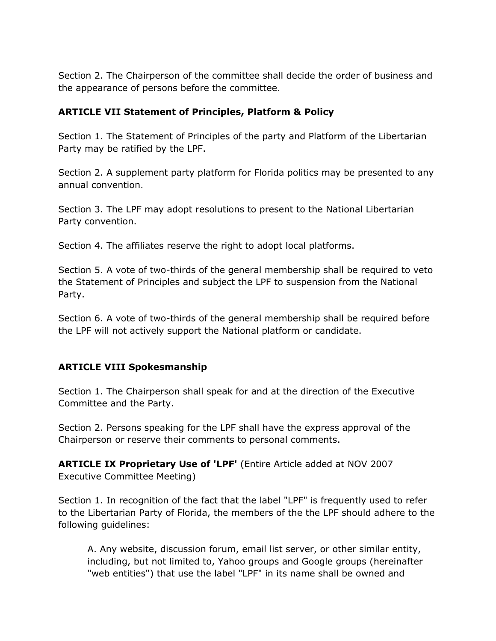Section 2. The Chairperson of the committee shall decide the order of business and the appearance of persons before the committee.

### **ARTICLE VII Statement of Principles, Platform & Policy**

Section 1. The Statement of Principles of the party and Platform of the Libertarian Party may be ratified by the LPF.

Section 2. A supplement party platform for Florida politics may be presented to any annual convention.

Section 3. The LPF may adopt resolutions to present to the National Libertarian Party convention.

Section 4. The affiliates reserve the right to adopt local platforms.

Section 5. A vote of two-thirds of the general membership shall be required to veto the Statement of Principles and subject the LPF to suspension from the National Party.

Section 6. A vote of two-thirds of the general membership shall be required before the LPF will not actively support the National platform or candidate.

### **ARTICLE VIII Spokesmanship**

Section 1. The Chairperson shall speak for and at the direction of the Executive Committee and the Party.

Section 2. Persons speaking for the LPF shall have the express approval of the Chairperson or reserve their comments to personal comments.

**ARTICLE IX Proprietary Use of 'LPF'** (Entire Article added at NOV 2007 Executive Committee Meeting)

Section 1. In recognition of the fact that the label "LPF" is frequently used to refer to the Libertarian Party of Florida, the members of the the LPF should adhere to the following guidelines:

A. Any website, discussion forum, email list server, or other similar entity, including, but not limited to, Yahoo groups and Google groups (hereinafter "web entities") that use the label "LPF" in its name shall be owned and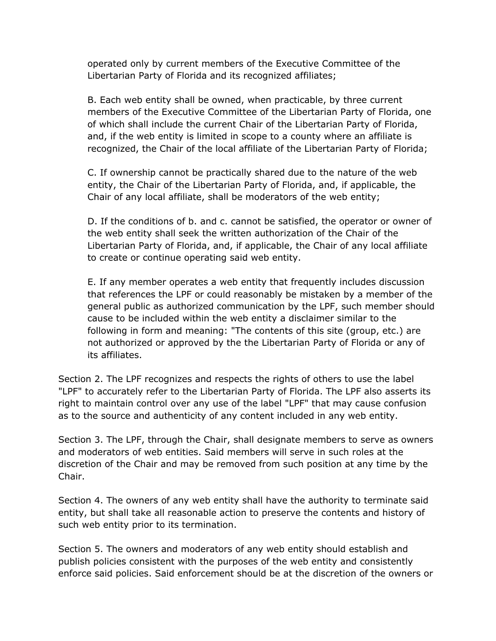operated only by current members of the Executive Committee of the Libertarian Party of Florida and its recognized affiliates;

B. Each web entity shall be owned, when practicable, by three current members of the Executive Committee of the Libertarian Party of Florida, one of which shall include the current Chair of the Libertarian Party of Florida, and, if the web entity is limited in scope to a county where an affiliate is recognized, the Chair of the local affiliate of the Libertarian Party of Florida;

C. If ownership cannot be practically shared due to the nature of the web entity, the Chair of the Libertarian Party of Florida, and, if applicable, the Chair of any local affiliate, shall be moderators of the web entity;

D. If the conditions of b. and c. cannot be satisfied, the operator or owner of the web entity shall seek the written authorization of the Chair of the Libertarian Party of Florida, and, if applicable, the Chair of any local affiliate to create or continue operating said web entity.

E. If any member operates a web entity that frequently includes discussion that references the LPF or could reasonably be mistaken by a member of the general public as authorized communication by the LPF, such member should cause to be included within the web entity a disclaimer similar to the following in form and meaning: "The contents of this site (group, etc.) are not authorized or approved by the the Libertarian Party of Florida or any of its affiliates.

Section 2. The LPF recognizes and respects the rights of others to use the label "LPF" to accurately refer to the Libertarian Party of Florida. The LPF also asserts its right to maintain control over any use of the label "LPF" that may cause confusion as to the source and authenticity of any content included in any web entity.

Section 3. The LPF, through the Chair, shall designate members to serve as owners and moderators of web entities. Said members will serve in such roles at the discretion of the Chair and may be removed from such position at any time by the Chair.

Section 4. The owners of any web entity shall have the authority to terminate said entity, but shall take all reasonable action to preserve the contents and history of such web entity prior to its termination.

Section 5. The owners and moderators of any web entity should establish and publish policies consistent with the purposes of the web entity and consistently enforce said policies. Said enforcement should be at the discretion of the owners or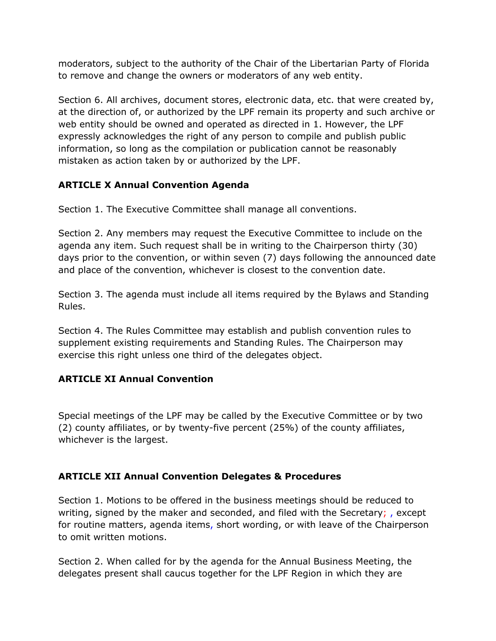moderators, subject to the authority of the Chair of the Libertarian Party of Florida to remove and change the owners or moderators of any web entity.

Section 6. All archives, document stores, electronic data, etc. that were created by, at the direction of, or authorized by the LPF remain its property and such archive or web entity should be owned and operated as directed in 1. However, the LPF expressly acknowledges the right of any person to compile and publish public information, so long as the compilation or publication cannot be reasonably mistaken as action taken by or authorized by the LPF.

# **ARTICLE X Annual Convention Agenda**

Section 1. The Executive Committee shall manage all conventions.

Section 2. Any members may request the Executive Committee to include on the agenda any item. Such request shall be in writing to the Chairperson thirty (30) days prior to the convention, or within seven (7) days following the announced date and place of the convention, whichever is closest to the convention date.

Section 3. The agenda must include all items required by the Bylaws and Standing Rules.

Section 4. The Rules Committee may establish and publish convention rules to supplement existing requirements and Standing Rules. The Chairperson may exercise this right unless one third of the delegates object.

# **ARTICLE XI Annual Convention**

Special meetings of the LPF may be called by the Executive Committee or by two (2) county affiliates, or by twenty-five percent (25%) of the county affiliates, whichever is the largest.

# **ARTICLE XII Annual Convention Delegates & Procedures**

Section 1. Motions to be offered in the business meetings should be reduced to writing, signed by the maker and seconded, and filed with the Secretary; , except for routine matters, agenda items, short wording, or with leave of the Chairperson to omit written motions.

Section 2. When called for by the agenda for the Annual Business Meeting, the delegates present shall caucus together for the LPF Region in which they are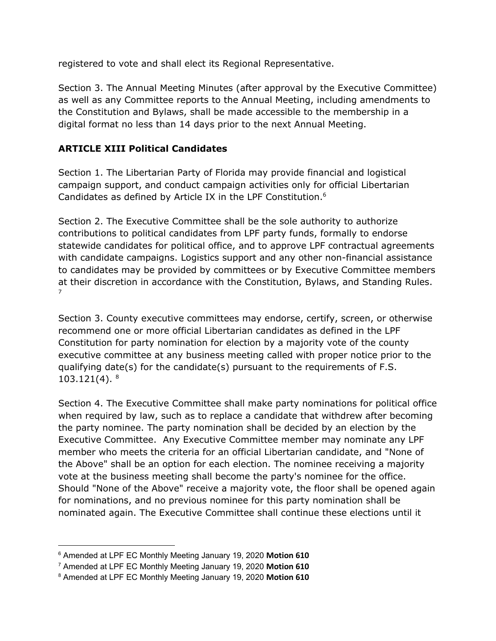registered to vote and shall elect its Regional Representative.

Section 3. The Annual Meeting Minutes (after approval by the Executive Committee) as well as any Committee reports to the Annual Meeting, including amendments to the Constitution and Bylaws, shall be made accessible to the membership in a digital format no less than 14 days prior to the next Annual Meeting.

## **ARTICLE XIII Political Candidates**

Section 1. The Libertarian Party of Florida may provide financial and logistical campaign support, and conduct campaign activities only for official Libertarian Candidates as defined by Article IX in the LPF Constitution. 6

Section 2. The Executive Committee shall be the sole authority to authorize contributions to political candidates from LPF party funds, formally to endorse statewide candidates for political office, and to approve LPF contractual agreements with candidate campaigns. Logistics support and any other non-financial assistance to candidates may be provided by committees or by Executive Committee members at their discretion in accordance with the Constitution, Bylaws, and Standing Rules. 7

Section 3. County executive committees may endorse, certify, screen, or otherwise recommend one or more official Libertarian candidates as defined in the LPF Constitution for party nomination for election by a majority vote of the county executive committee at any business meeting called with proper notice prior to the qualifying date(s) for the candidate(s) pursuant to the requirements of  $F.S.$ 103.121(4). 8

Section 4. The Executive Committee shall make party nominations for political office when required by law, such as to replace a candidate that withdrew after becoming the party nominee. The party nomination shall be decided by an election by the Executive Committee. Any Executive Committee member may nominate any LPF member who meets the criteria for an official Libertarian candidate, and "None of the Above" shall be an option for each election. The nominee receiving a majority vote at the business meeting shall become the party's nominee for the office. Should "None of the Above" receive a majority vote, the floor shall be opened again for nominations, and no previous nominee for this party nomination shall be nominated again. The Executive Committee shall continue these elections until it

<sup>6</sup> Amended at LPF EC Monthly Meeting January 19, 2020 **Motion 610**

<sup>7</sup> Amended at LPF EC Monthly Meeting January 19, 2020 **Motion 610**

<sup>8</sup> Amended at LPF EC Monthly Meeting January 19, 2020 **Motion 610**